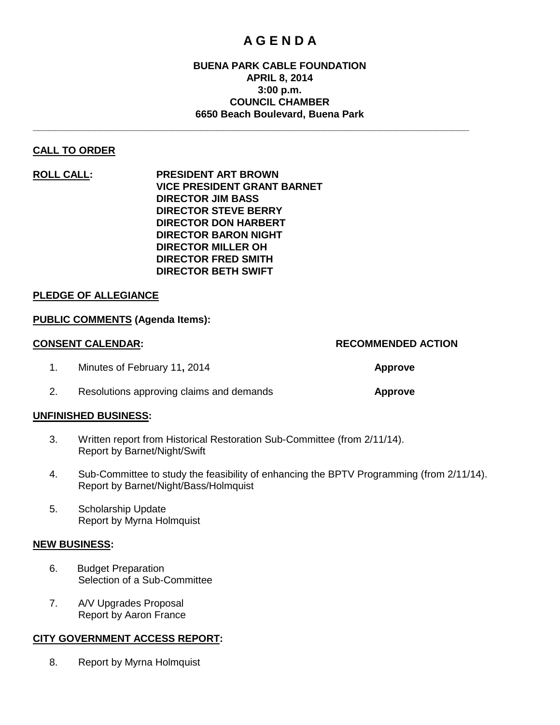# **A G E N D A**

# **BUENA PARK CABLE FOUNDATION APRIL 8, 2014 3:00 p.m. COUNCIL CHAMBER 6650 Beach Boulevard, Buena Park**

**\_\_\_\_\_\_\_\_\_\_\_\_\_\_\_\_\_\_\_\_\_\_\_\_\_\_\_\_\_\_\_\_\_\_\_\_\_\_\_\_\_\_\_\_\_\_\_\_\_\_\_\_\_\_\_\_\_\_\_\_\_\_\_\_\_\_\_\_\_\_\_\_\_\_\_\_\_\_**

# **CALL TO ORDER**

**ROLL CALL: PRESIDENT ART BROWN VICE PRESIDENT GRANT BARNET DIRECTOR JIM BASS DIRECTOR STEVE BERRY DIRECTOR DON HARBERT DIRECTOR BARON NIGHT DIRECTOR MILLER OH DIRECTOR FRED SMITH DIRECTOR BETH SWIFT**

#### **PLEDGE OF ALLEGIANCE**

#### **PUBLIC COMMENTS (Agenda Items):**

# **CONSENT CALENDAR: RECOMMENDED ACTION**

- 1. Minutes of February 11**,** 2014 **Approve**
- 2. Resolutions approving claims and demands **Approve**

#### **UNFINISHED BUSINESS:**

- 3. Written report from Historical Restoration Sub-Committee (from 2/11/14). Report by Barnet/Night/Swift
- 4. Sub-Committee to study the feasibility of enhancing the BPTV Programming (from 2/11/14). Report by Barnet/Night/Bass/Holmquist
- 5. Scholarship Update Report by Myrna Holmquist

#### **NEW BUSINESS:**

- 6. Budget Preparation Selection of a Sub-Committee
- 7. A/V Upgrades Proposal Report by Aaron France

#### **CITY GOVERNMENT ACCESS REPORT:**

8. Report by Myrna Holmquist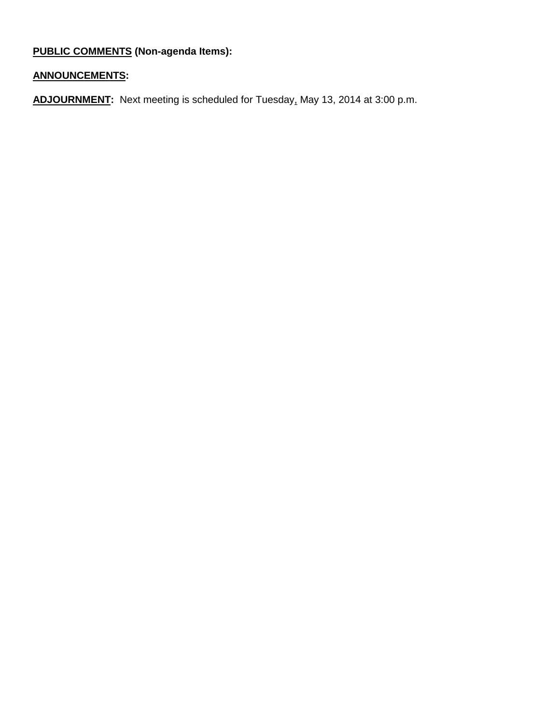# **PUBLIC COMMENTS (Non-agenda Items):**

# **ANNOUNCEMENTS:**

**ADJOURNMENT:** Next meeting is scheduled for Tuesday, May 13, 2014 at 3:00 p.m.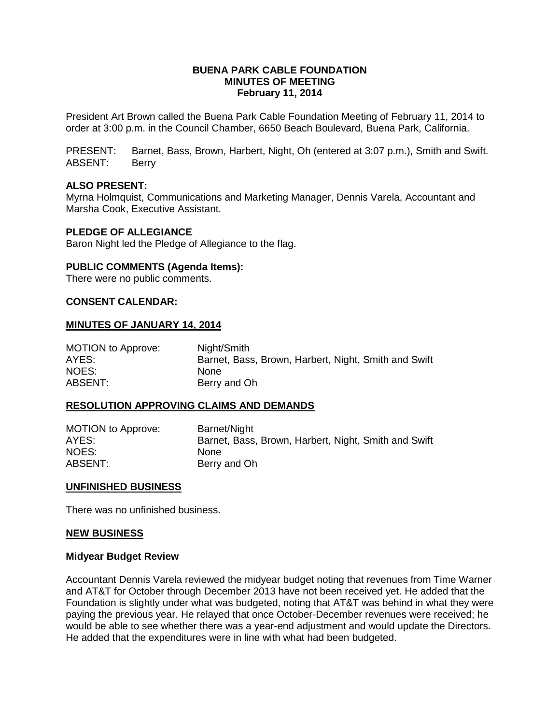### **BUENA PARK CABLE FOUNDATION MINUTES OF MEETING February 11, 2014**

President Art Brown called the Buena Park Cable Foundation Meeting of February 11, 2014 to order at 3:00 p.m. in the Council Chamber, 6650 Beach Boulevard, Buena Park, California.

PRESENT: Barnet, Bass, Brown, Harbert, Night, Oh (entered at 3:07 p.m.), Smith and Swift. ABSENT: Berry

#### **ALSO PRESENT:**

Myrna Holmquist, Communications and Marketing Manager, Dennis Varela, Accountant and Marsha Cook, Executive Assistant.

## **PLEDGE OF ALLEGIANCE**

Baron Night led the Pledge of Allegiance to the flag.

#### **PUBLIC COMMENTS (Agenda Items):**

There were no public comments.

#### **CONSENT CALENDAR:**

#### **MINUTES OF JANUARY 14, 2014**

| MOTION to Approve: | Night/Smith                                          |
|--------------------|------------------------------------------------------|
| AYES:              | Barnet, Bass, Brown, Harbert, Night, Smith and Swift |
| NOES:              | None                                                 |
| ABSENT:            | Berry and Oh                                         |

#### **RESOLUTION APPROVING CLAIMS AND DEMANDS**

| <b>MOTION to Approve:</b> | Barnet/Night                                         |
|---------------------------|------------------------------------------------------|
| AYES:                     | Barnet, Bass, Brown, Harbert, Night, Smith and Swift |
| NOES:                     | <b>None</b>                                          |
| ABSENT:                   | Berry and Oh                                         |

#### **UNFINISHED BUSINESS**

There was no unfinished business.

#### **NEW BUSINESS**

#### **Midyear Budget Review**

Accountant Dennis Varela reviewed the midyear budget noting that revenues from Time Warner and AT&T for October through December 2013 have not been received yet. He added that the Foundation is slightly under what was budgeted, noting that AT&T was behind in what they were paying the previous year. He relayed that once October-December revenues were received; he would be able to see whether there was a year-end adjustment and would update the Directors. He added that the expenditures were in line with what had been budgeted.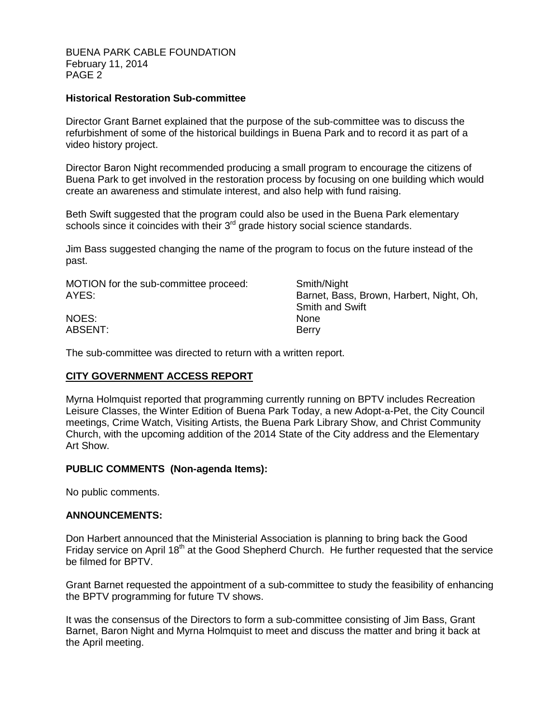BUENA PARK CABLE FOUNDATION February 11, 2014 PAGE 2

### **Historical Restoration Sub-committee**

Director Grant Barnet explained that the purpose of the sub-committee was to discuss the refurbishment of some of the historical buildings in Buena Park and to record it as part of a video history project.

Director Baron Night recommended producing a small program to encourage the citizens of Buena Park to get involved in the restoration process by focusing on one building which would create an awareness and stimulate interest, and also help with fund raising.

Beth Swift suggested that the program could also be used in the Buena Park elementary schools since it coincides with their  $3<sup>rd</sup>$  grade history social science standards.

Jim Bass suggested changing the name of the program to focus on the future instead of the past.

| MOTION for the sub-committee proceed:<br>AYES: | Smith/Night<br>Barnet, Bass, Brown, Harbert, Night, Oh,<br><b>Smith and Swift</b> |  |  |  |  |
|------------------------------------------------|-----------------------------------------------------------------------------------|--|--|--|--|
| NOES:                                          | <b>None</b>                                                                       |  |  |  |  |
| ABSENT:                                        | Berry                                                                             |  |  |  |  |

The sub-committee was directed to return with a written report.

# **CITY GOVERNMENT ACCESS REPORT**

Myrna Holmquist reported that programming currently running on BPTV includes Recreation Leisure Classes, the Winter Edition of Buena Park Today, a new Adopt-a-Pet, the City Council meetings, Crime Watch, Visiting Artists, the Buena Park Library Show, and Christ Community Church, with the upcoming addition of the 2014 State of the City address and the Elementary Art Show.

# **PUBLIC COMMENTS (Non-agenda Items):**

No public comments.

#### **ANNOUNCEMENTS:**

Don Harbert announced that the Ministerial Association is planning to bring back the Good Friday service on April 18<sup>th</sup> at the Good Shepherd Church. He further requested that the service be filmed for BPTV.

Grant Barnet requested the appointment of a sub-committee to study the feasibility of enhancing the BPTV programming for future TV shows.

It was the consensus of the Directors to form a sub-committee consisting of Jim Bass, Grant Barnet, Baron Night and Myrna Holmquist to meet and discuss the matter and bring it back at the April meeting.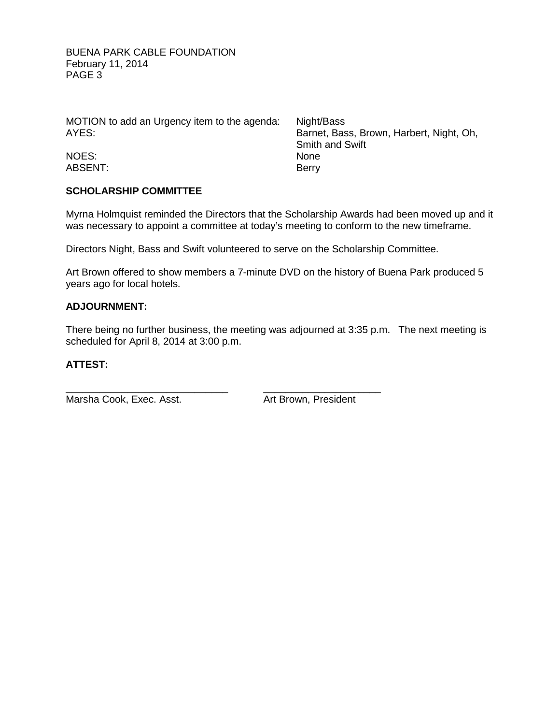BUENA PARK CABLE FOUNDATION February 11, 2014 PAGE 3

MOTION to add an Urgency item to the agenda: Night/Bass AYES: Barnet, Bass, Brown, Harbert, Night, Oh,

NOES: None ABSENT: Berry

Smith and Swift<br>None

# **SCHOLARSHIP COMMITTEE**

Myrna Holmquist reminded the Directors that the Scholarship Awards had been moved up and it was necessary to appoint a committee at today's meeting to conform to the new timeframe.

Directors Night, Bass and Swift volunteered to serve on the Scholarship Committee.

Art Brown offered to show members a 7-minute DVD on the history of Buena Park produced 5 years ago for local hotels.

## **ADJOURNMENT:**

There being no further business, the meeting was adjourned at 3:35 p.m. The next meeting is scheduled for April 8, 2014 at 3:00 p.m.

# **ATTEST:**

Marsha Cook, Exec. Asst. Art Brown, President

\_\_\_\_\_\_\_\_\_\_\_\_\_\_\_\_\_\_\_\_\_\_\_\_\_\_\_\_\_ \_\_\_\_\_\_\_\_\_\_\_\_\_\_\_\_\_\_\_\_\_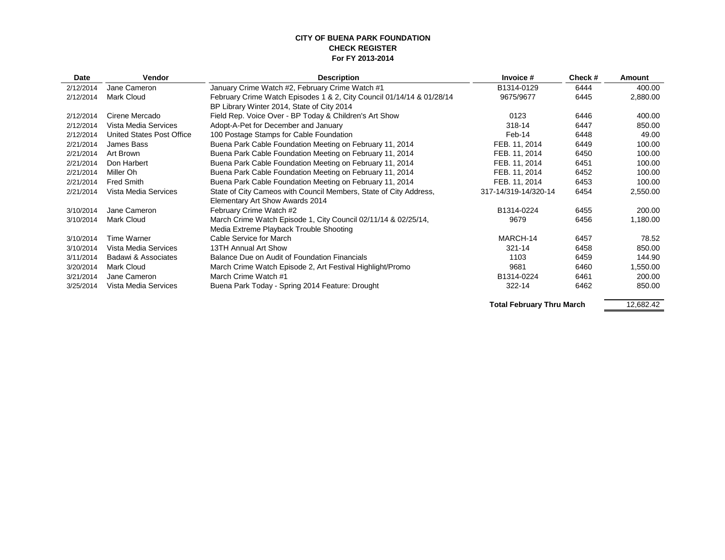#### **CITY OF BUENA PARK FOUNDATION CHECK REGISTER For FY 2013-2014**

| Date      | Vendor                    | <b>Description</b>                                                    | Invoice #                    | Check # | Amount   |
|-----------|---------------------------|-----------------------------------------------------------------------|------------------------------|---------|----------|
| 2/12/2014 | Jane Cameron              | January Crime Watch #2, February Crime Watch #1                       | B1314-0129                   | 6444    | 400.00   |
| 2/12/2014 | Mark Cloud                | February Crime Watch Episodes 1 & 2, City Council 01/14/14 & 01/28/14 | 9675/9677                    | 6445    | 2,880.00 |
|           |                           | BP Library Winter 2014, State of City 2014                            |                              |         |          |
| 2/12/2014 | Cirene Mercado            | Field Rep. Voice Over - BP Today & Children's Art Show                | 0123                         | 6446    | 400.00   |
| 2/12/2014 | Vista Media Services      | Adopt-A-Pet for December and January                                  | 318-14                       | 6447    | 850.00   |
| 2/12/2014 | United States Post Office | 100 Postage Stamps for Cable Foundation                               | Feb-14                       | 6448    | 49.00    |
| 2/21/2014 | James Bass                | Buena Park Cable Foundation Meeting on February 11, 2014              | FEB. 11, 2014                | 6449    | 100.00   |
| 2/21/2014 | Art Brown                 | Buena Park Cable Foundation Meeting on February 11, 2014              | FEB. 11, 2014                | 6450    | 100.00   |
| 2/21/2014 | Don Harbert               | Buena Park Cable Foundation Meeting on February 11, 2014              | FEB. 11, 2014                | 6451    | 100.00   |
| 2/21/2014 | Miller Oh                 | Buena Park Cable Foundation Meeting on February 11, 2014              | FEB. 11, 2014                | 6452    | 100.00   |
| 2/21/2014 | <b>Fred Smith</b>         | Buena Park Cable Foundation Meeting on February 11, 2014              | FEB. 11, 2014                | 6453    | 100.00   |
| 2/21/2014 | Vista Media Services      | State of City Cameos with Council Members, State of City Address,     | 317-14/319-14/320-14         | 6454    | 2,550.00 |
|           |                           | Elementary Art Show Awards 2014                                       |                              |         |          |
| 3/10/2014 | Jane Cameron              | February Crime Watch #2                                               | B1314-0224                   | 6455    | 200.00   |
| 3/10/2014 | <b>Mark Cloud</b>         | March Crime Watch Episode 1, City Council 02/11/14 & 02/25/14,        | 9679                         | 6456    | 1,180.00 |
|           |                           | Media Extreme Playback Trouble Shooting                               |                              |         |          |
| 3/10/2014 | Time Warner               | Cable Service for March                                               | MARCH-14                     | 6457    | 78.52    |
| 3/10/2014 | Vista Media Services      | 13TH Annual Art Show                                                  | $321 - 14$                   | 6458    | 850.00   |
| 3/11/2014 | Badawi & Associates       | Balance Due on Audit of Foundation Financials                         | 1103                         | 6459    | 144.90   |
| 3/20/2014 | <b>Mark Cloud</b>         | March Crime Watch Episode 2, Art Festival Highlight/Promo             | 9681                         | 6460    | 1,550.00 |
| 3/21/2014 | Jane Cameron              | March Crime Watch #1                                                  | B1314-0224                   | 6461    | 200.00   |
| 3/25/2014 | Vista Media Services      | Buena Park Today - Spring 2014 Feature: Drought                       | 322-14                       | 6462    | 850.00   |
|           |                           |                                                                       | エンチント にっしゅうくうかく エレック・トリング・レー |         | 10.00010 |

**Total February Thru March**

12,682.42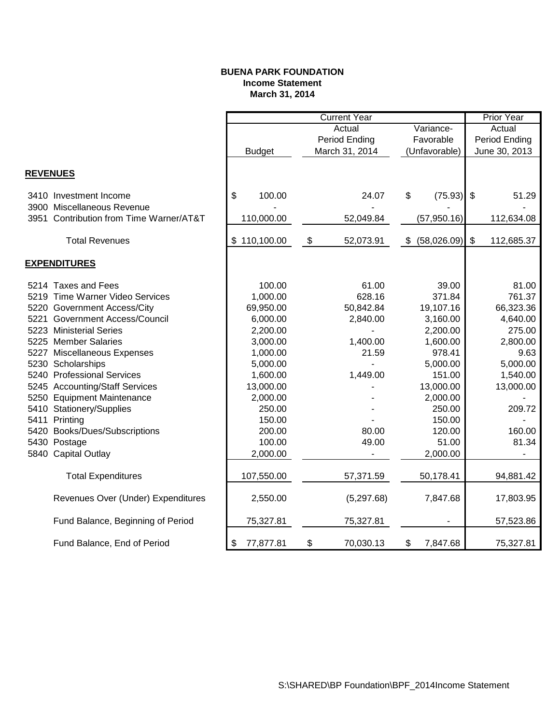## **BUENA PARK FOUNDATION Income Statement March 31, 2014**

|                 |                                         | <b>Current Year</b> |                   |                |               |              |                           | <b>Prior Year</b>        |
|-----------------|-----------------------------------------|---------------------|-------------------|----------------|---------------|--------------|---------------------------|--------------------------|
|                 |                                         |                     |                   | Actual         |               | Variance-    |                           | Actual                   |
|                 |                                         |                     |                   | Period Ending  |               | Favorable    |                           | Period Ending            |
|                 |                                         | <b>Budget</b>       |                   | March 31, 2014 | (Unfavorable) |              | June 30, 2013             |                          |
|                 |                                         |                     |                   |                |               |              |                           |                          |
| <b>REVENUES</b> |                                         |                     |                   |                |               |              |                           |                          |
|                 | 3410 Investment Income                  | \$<br>100.00        |                   | 24.07          | \$            | (75.93)      | $\boldsymbol{\mathsf{S}}$ | 51.29                    |
|                 | 3900 Miscellaneous Revenue              |                     |                   |                |               |              |                           |                          |
|                 | 3951 Contribution from Time Warner/AT&T | 110,000.00          |                   | 52,049.84      |               | (57, 950.16) |                           | 112,634.08               |
|                 | <b>Total Revenues</b>                   | \$110,100.00        | $\boldsymbol{\$}$ | 52,073.91      | \$            | (58,026.09)  | $\boldsymbol{\mathsf{S}}$ | 112,685.37               |
|                 | <b>EXPENDITURES</b>                     |                     |                   |                |               |              |                           |                          |
|                 | 5214 Taxes and Fees                     | 100.00              |                   | 61.00          |               | 39.00        |                           | 81.00                    |
|                 | 5219 Time Warner Video Services         | 1,000.00            |                   | 628.16         |               | 371.84       |                           | 761.37                   |
|                 | 5220 Government Access/City             | 69,950.00           |                   | 50,842.84      |               | 19,107.16    |                           | 66,323.36                |
|                 | 5221 Government Access/Council          | 6,000.00            |                   | 2,840.00       |               | 3,160.00     |                           | 4,640.00                 |
|                 | 5223 Ministerial Series                 | 2,200.00            |                   |                |               | 2,200.00     |                           | 275.00                   |
|                 | 5225 Member Salaries                    | 3,000.00            |                   | 1,400.00       |               | 1,600.00     |                           | 2,800.00                 |
|                 | 5227 Miscellaneous Expenses             | 1,000.00            |                   | 21.59          |               | 978.41       |                           | 9.63                     |
|                 | 5230 Scholarships                       | 5,000.00            |                   |                |               | 5,000.00     |                           | 5,000.00                 |
|                 | 5240 Professional Services              | 1,600.00            |                   | 1,449.00       |               | 151.00       |                           | 1,540.00                 |
|                 | 5245 Accounting/Staff Services          | 13,000.00           |                   |                |               | 13,000.00    |                           | 13,000.00                |
|                 | 5250 Equipment Maintenance              | 2,000.00            |                   |                |               | 2,000.00     |                           |                          |
|                 | 5410 Stationery/Supplies                | 250.00              |                   |                |               | 250.00       |                           | 209.72                   |
|                 | 5411 Printing                           | 150.00              |                   |                |               | 150.00       |                           |                          |
|                 | 5420 Books/Dues/Subscriptions           | 200.00              |                   | 80.00          |               | 120.00       |                           | 160.00                   |
|                 | 5430 Postage                            | 100.00              |                   | 49.00          |               | 51.00        |                           | 81.34                    |
|                 | 5840 Capital Outlay                     | 2,000.00            |                   |                |               | 2,000.00     |                           | $\overline{\phantom{a}}$ |
|                 | <b>Total Expenditures</b>               | 107,550.00          |                   | 57,371.59      |               | 50,178.41    |                           | 94,881.42                |
|                 | Revenues Over (Under) Expenditures      | 2,550.00            |                   | (5,297.68)     |               | 7,847.68     |                           | 17,803.95                |
|                 | Fund Balance, Beginning of Period       | 75,327.81           |                   | 75,327.81      |               |              |                           | 57,523.86                |
|                 | Fund Balance, End of Period             | \$<br>77,877.81     | \$                | 70,030.13      | \$            | 7,847.68     |                           | 75,327.81                |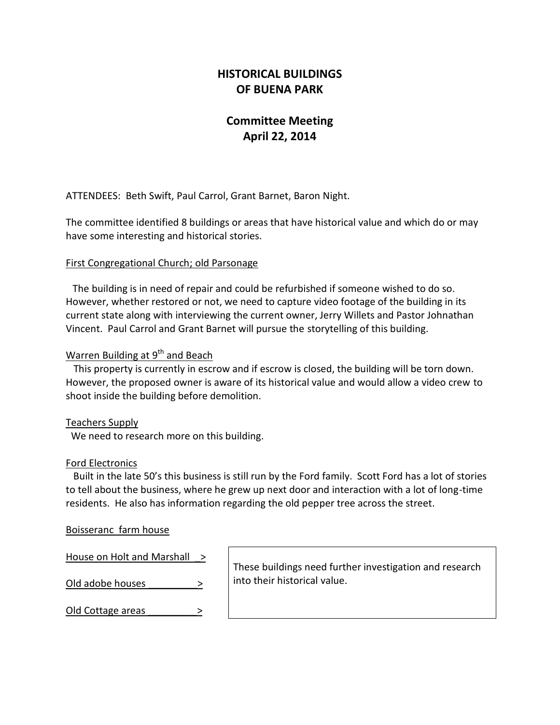# **HISTORICAL BUILDINGS OF BUENA PARK**

# **Committee Meeting April 22, 2014**

ATTENDEES: Beth Swift, Paul Carrol, Grant Barnet, Baron Night.

The committee identified 8 buildings or areas that have historical value and which do or may have some interesting and historical stories.

# First Congregational Church; old Parsonage

 The building is in need of repair and could be refurbished if someone wished to do so. However, whether restored or not, we need to capture video footage of the building in its current state along with interviewing the current owner, Jerry Willets and Pastor Johnathan Vincent. Paul Carrol and Grant Barnet will pursue the storytelling of this building.

## Warren Building at  $9<sup>th</sup>$  and Beach

 This property is currently in escrow and if escrow is closed, the building will be torn down. However, the proposed owner is aware of its historical value and would allow a video crew to shoot inside the building before demolition.

# Teachers Supply

We need to research more on this building.

#### Ford Electronics

 Built in the late 50's this business is still run by the Ford family. Scott Ford has a lot of stories to tell about the business, where he grew up next door and interaction with a lot of long-time residents. He also has information regarding the old pepper tree across the street.

### Boisseranc farm house

| House on Holt and Marshall > | These buildings need further investigation and research |  |
|------------------------------|---------------------------------------------------------|--|
| Old adobe houses             | into their historical value.                            |  |
| Old Cottage areas            |                                                         |  |